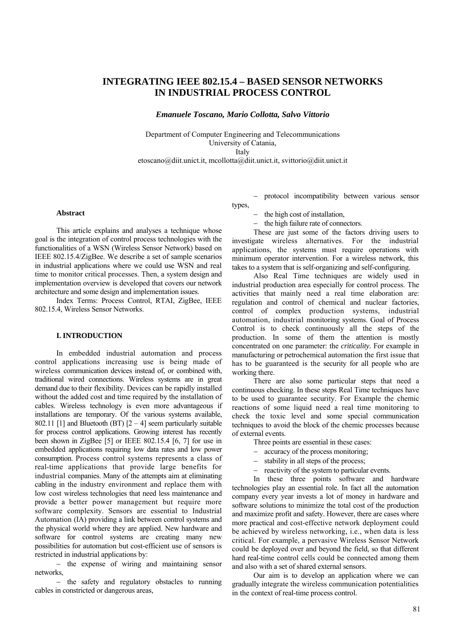# **INTEGRATING IEEE 802.15.4 – BASED SENSOR NETWORKS IN INDUSTRIAL PROCESS CONTROL**

*Emanuele Toscano, Mario Collotta, Salvo Vittorio*

Department of Computer Engineering and Telecommunications University of Catania, Italy

[etoscano@diit.unict.it](mailto:etoscano@diit.unict.it), mcollotta@diit.unict.it, svittorio@diit.unict.it

#### **Abstract**

This article explains and analyses a technique whose goal is the integration of control process technologies with the functionalities of a WSN (Wireless Sensor Network) based on IEEE 802.15.4/ZigBee. We describe a set of sample scenarios in industrial applications where we could use WSN and real time to monitor critical processes. Then, a system design and implementation overview is developed that covers our network architecture and some design and implementation issues.

Index Terms: Process Control, RTAI, ZigBee, IEEE 802.15.4, Wireless Sensor Networks.

# **I. INTRODUCTION**

In embedded industrial automation and process control applications increasing use is being made of wireless communication devices instead of, or combined with, traditional wired connections. Wireless systems are in great demand due to their flexibility. Devices can be rapidly installed without the added cost and time required by the installation of cables. Wireless technology is even more advantageous if installations are temporary. Of the various systems available, 802.11 [1] and Bluetooth (BT)  $[2 - 4]$  seem particularly suitable for process control applications. Growing interest has recently been shown in ZigBee [5] or IEEE 802.15.4 [6, 7] for use in embedded applications requiring low data rates and low power consumption. Process control systems represents a class of real-time applications that provide large benefits for industrial companies. Many of the attempts aim at eliminating cabling in the industry environment and replace them with low cost wireless technologies that need less maintenance and provide a better power management but require more software complexity. Sensors are essential to Industrial Automation (IA) providing a link between control systems and the physical world where they are applied. New hardware and software for control systems are creating many new possibilities for automation but cost-efficient use of sensors is restricted in industrial applications by:

− the expense of wiring and maintaining sensor networks,

− the safety and regulatory obstacles to running cables in constricted or dangerous areas,

− protocol incompatibility between various sensor types,

- − the high cost of installation,
- − the high failure rate of connectors.

These are just some of the factors driving users to investigate wireless alternatives. For the industrial applications, the systems must require operations with minimum operator intervention. For a wireless network, this takes to a system that is self-organizing and self-configuring.

Also Real Time techniques are widely used in industrial production area especially for control process. The activities that mainly need a real time elaboration are: regulation and control of chemical and nuclear factories, control of complex production systems, industrial automation, industrial monitoring systems. Goal of Process Control is to check continuously all the steps of the production. In some of them the attention is mostly concentrated on one parameter: the *criticality.* For example in manufacturing or petrochemical automation the first issue that has to be guaranteed is the security for all people who are working there.

There are also some particular steps that need a continuous checking. In these steps Real Time techniques have to be used to guarantee security. For Example the chemic reactions of some liquid need a real time monitoring to check the toxic level and some special communication techniques to avoid the block of the chemic processes because of external events.

- Three points are essential in these cases:
- − accuracy of the process monitoring;
- − stability in all steps of the process;
- − reactivity of the system to particular events.

In these three points software and hardware technologies play an essential role. In fact all the automation company every year invests a lot of money in hardware and software solutions to minimize the total cost of the production and maximize profit and safety. However, there are cases where more practical and cost-effective network deployment could be achieved by wireless networking, i.e., when data is less critical. For example, a pervasive Wireless Sensor Network could be deployed over and beyond the field, so that different hard real-time control cells could be connected among them and also with a set of shared external sensors.

Our aim is to develop an application where we can gradually integrate the wireless communication potentialities in the context of real-time process control.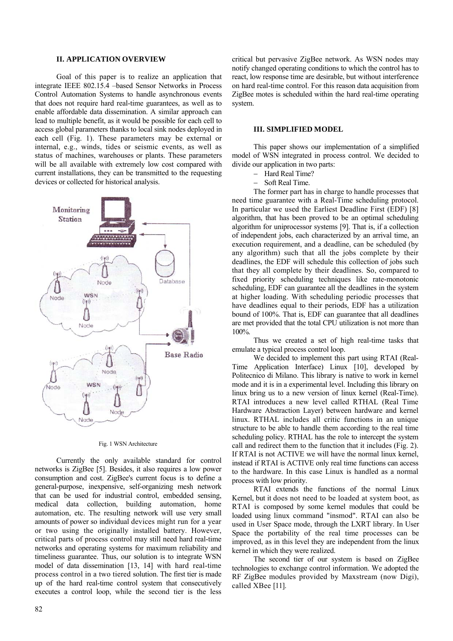### **II. APPLICATION OVERVIEW**

Goal of this paper is to realize an application that integrate IEEE 802.15.4 –based Sensor Networks in Process Control Automation Systems to handle asynchronous events that does not require hard real-time guarantees, as well as to enable affordable data dissemination. A similar approach can lead to multiple benefit, as it would be possible for each cell to access global parameters thanks to local sink nodes deployed in each cell (Fig. 1). These parameters may be external or internal, e.g., winds, tides or seismic events, as well as status of machines, warehouses or plants. These parameters will be all available with extremely low cost compared with current installations, they can be transmitted to the requesting devices or collected for historical analysis.



#### Fig. 1 WSN Architecture

Currently the only available standard for control networks is ZigBee [5]. Besides, it also requires a low power consumption and cost. ZigBee's current focus is to define a general-purpose, inexpensive, self-organizing mesh network that can be used for industrial control, embedded sensing, medical data collection, building automation, home automation, etc. The resulting network will use very small amounts of power so individual devices might run for a year or two using the originally installed battery. However, critical parts of process control may still need hard real-time networks and operating systems for maximum reliability and timeliness guarantee. Thus, our solution is to integrate WSN model of data dissemination [13, 14] with hard real-time process control in a two tiered solution. The first tier is made up of the hard real-time control system that consecutively executes a control loop, while the second tier is the less

critical but pervasive ZigBee network. As WSN nodes may notify changed operating conditions to which the control has to react, low response time are desirable, but without interference on hard real-time control. For this reason data acquisition from ZigBee motes is scheduled within the hard real-time operating system.

### **III. SIMPLIFIED MODEL**

This paper shows our implementation of a simplified model of WSN integrated in process control. We decided to divide our application in two parts:

- − Hard Real Time?
- − Soft Real Time.

The former part has in charge to handle processes that need time guarantee with a Real-Time scheduling protocol. In particular we used the Earliest Deadline First (EDF) [8] algorithm, that has been proved to be an optimal scheduling algorithm for uniprocessor systems [9]. That is, if a collection of independent jobs, each characterized by an arrival time, an execution requirement, and a deadline, can be scheduled (by any algorithm) such that all the jobs complete by their deadlines, the EDF will schedule this collection of jobs such that they all complete by their deadlines. So, compared to fixed priority scheduling techniques like rate-monotonic scheduling, EDF can guarantee all the deadlines in the system at higher loading. With scheduling periodic processes that have deadlines equal to their periods. EDF has a utilization bound of 100%. That is, EDF can guarantee that all deadlines are met provided that the total CPU utilization is not more than 100%.

Thus we created a set of high real-time tasks that emulate a typical process control loop.

We decided to implement this part using RTAI (Real-Time Application Interface) Linux [10], developed by Politecnico di Milano. This library is native to work in kernel mode and it is in a experimental level. Including this library on linux bring us to a new version of linux kernel (Real-Time). RTAI introduces a new level called RTHAL (Real Time Hardware Abstraction Layer) between hardware and kernel linux. RTHAL includes all critic functions in an unique structure to be able to handle them according to the real time scheduling policy. RTHAL has the role to intercept the system call and redirect them to the function that it includes (Fig. 2). If RTAI is not ACTIVE we will have the normal linux kernel, instead if RTAI is ACTIVE only real time functions can access to the hardware. In this case Linux is handled as a normal process with low priority.

RTAI extends the functions of the normal Linux Kernel, but it does not need to be loaded at system boot, as RTAI is composed by some kernel modules that could be loaded using linux command "insmod". RTAI can also be used in User Space mode, through the LXRT library. In User Space the portability of the real time processes can be improved, as in this level they are independent from the linux kernel in which they were realized.

The second tier of our system is based on ZigBee technologies to exchange control information. We adopted the RF ZigBee modules provided by Maxstream (now Digi), called XBee [11].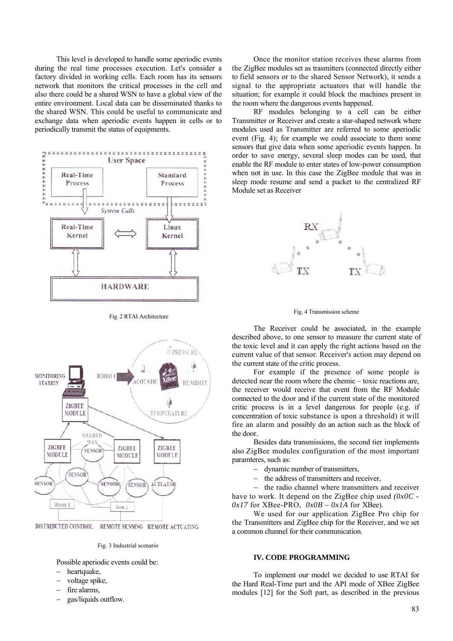This level is developed to handle some aperiodic events during the real time processes execution. Let's consider a factory divided in working cells. Each room has its sensors network that monitors the critical processes in the cell and also there could be a shared WSN to have a global view of the entire environment. Local data can be disseminated thanks to the shared WSN. This could be useful to communicate and exchange data when aperiodic events happen in cells or to periodically transmit the status of equipments.



Fig. 2 RTAI Architecture



DISTRIBUTED CONTROL REMOTE SENSING REMOTE ACTUATING

Fig. 3 Industrial scenario

Possible aperiodic events could be:

- − heartquake,
- voltage spike,
- fire alarms.
- − gas/liquids outflow.

Once the monitor station receives these alarms from the ZigBee modules set as trasmitters (connected directly either to field sensors or to the shared Sensor Network), it sends a signal to the appropriate actuators that will handle the situation; for example it could block the machines present in the room where the dangerous events happened.

RF modules belonging to a cell can be either Transmitter or Receiver and create a star-shaped network where modules used as Transmitter are referred to some aperiodic event (Fig. 4); for example we could associate to them some sensors that give data when some aperiodic events happen. In order to save energy, several sleep modes can be used, that enable the RF module to enter states of low-power consumption when not in use. In this case the ZigBee module that was in sleep mode resume and send a packet to the centralized RF Module set as Receiver





The Receiver could be associated, in the example described above, to one sensor to measure the current state of the toxic level and it can apply the right actions based on the current value of that sensor. Receiver's action may depend on the current state of the critic process.

For example if the presence of some people is detected near the room where the chemic – toxic reactions are, the receiver would receive that event from the RF Module connected to the door and if the current state of the monitored critic process is in a level dangerous for people (e.g. if concentration of toxic substance is upon a threshold) it will fire an alarm and possibly do an action such as the block of the door.

Besides data transmissions, the second tier implements also ZigBee modules configuration of the most important paramteres, such as:

- − dynamic number of transmitters,
- − the address of transmitters and receiver,

− the radio channel where transmitters and receiver have to work. It depend on the ZigBee chip used *(0x0C -*   $0x17$  for XBee-PRO,  $0x0B - 0x1A$  for XBee).

We used for our application ZigBee Pro chip for the Transmitters and ZigBee chip for the Receiver, and we set a common channel for their communication.

# **IV. CODE PROGRAMMING**

To implement our model we decided to use RTAI for the Hard Real-Time part and the API mode of XBee ZigBee modules [12] for the Soft part, as described in the previous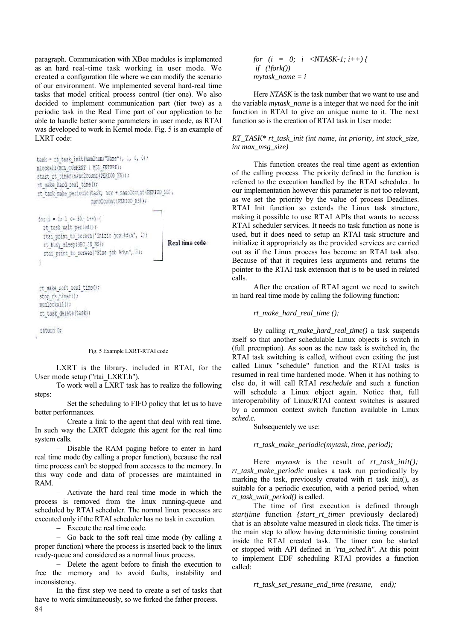paragraph. Communication with XBee modules is implemented as an hard real-time task working in user mode. We created a configuration file where we can modify the scenario of our environment. We implemented several hard-real time tasks that model critical process control (tier one). We also decided to implement communication part (tier two) as a periodic task in the Real Time part of our application to be able to handle better some parameters in user mode, as RTAI was developed to work in Kernel mode. Fig. 5 is an example of LXRT code:

```
task = rt task init (nam2num("Name"), 1, 0, 0);
minckall (MCL CURRENT | MCL FUTURE) ;
start it timer (nano2count (PERIOD NS) ) ;
rt make hard real time();
gt task make periodicitask, now + nanodcount (PERIOD_NS),
                       mano2count (PERIOD NS));
for (i = 1, 1 \leftarrow 30, i++)rt task wait period() /
  rtai print to screen("Inizio job %d\n", i);
                                                        Real time code
  rt busy sleep(SEC IN NS);
  rtai print to screen ("Fine job 0d\n", i):
 Ť
```
rt\_make\_soft\_real\_time(); stop rt timer(); municckall(); rt task delete(task);

return Or

#### Fig. 5 Example LXRT-RTAI code

LXRT is the library, included in RTAI, for the User mode setup ("rtai\_LXRT.h").

To work well a LXRT task has to realize the following steps:

− Set the scheduling to FIFO policy that let us to have better performances.

− Create a link to the agent that deal with real time. In such way the LXRT delegate this agent for the real time system calls.

− Disable the RAM paging before to enter in hard real time mode (by calling a proper function), because the real time process can't be stopped from accesses to the memory. In this way code and data of processes are maintained in RAM.

− Activate the hard real time mode in which the process is removed from the linux running-queue and scheduled by RTAI scheduler. The normal linux processes are executed only if the RTAI scheduler has no task in execution.

− Execute the real time code.

− Go back to the soft real time mode (by calling a proper function) where the process is inserted back to the linux ready-queue and considered as a normal linux process.

− Delete the agent before to finish the execution to free the memory and to avoid faults, instability and inconsistency.

84 In the first step we need to create a set of tasks that have to work simultaneously, so we forked the father process.

*for*  $(i = 0; i < NTASK-1; i++)$  *if (!fork()) mytask\_name = i*

Here *NTASK* is the task number that we want to use and the variable *mytask\_name* is a integer that we need for the init function in RTAI to give an unique name to it. The next function so is the creation of RTAI task in User mode:

*RT\_TASK\* rt\_task\_init (int name, int priority, int stack\_size, int max\_msg\_size)* 

This function creates the real time agent as extention of the calling process. The priority defined in the function is referred to the execution handled by the RTAI scheduler. In our implementation however this parameter is not too relevant, as we set the priority by the value of process Deadlines. RTAI Init function so extends the Linux task structure, making it possible to use RTAI APIs that wants to access RTAI scheduler services. It needs no task function as none is used, but it does need to setup an RTAI task structure and initialize it appropriately as the provided services are carried out as if the Linux process has become an RTAI task also. Because of that it requires less arguments and returns the pointer to the RTAI task extension that is to be used in related calls.

After the creation of RTAI agent we need to switch in hard real time mode by calling the following function:

### *rt\_make\_hard\_real\_time ();*

By calling *rt* make hard real time() a task suspends itself so that another schedulable Linux objects is switch in (full preemption). As soon as the new task is switched in, the RTAI task switching is called, without even exiting the just called Linux "schedule" function and the RTAI tasks is resumed in real time hardened mode. When it has nothing to else do, it will call RTAI *reschedule* and such a function will schedule a Linux object again. Notice that, full interoperability of Linux/RTAI context switches is assured by a common context switch function available in Linux *sched.c.* 

Subsequentely we use:

*rt\_task\_make\_periodic(mytask, time, period);* 

Here *mytask* is the result of *rt\_task\_init(); rt\_task\_make\_periodic* makes a task run periodically by marking the task, previously created with rt task init(), as suitable for a periodic execution, with a period period, when *rt\_task\_wait\_period()* is called.

The time of first execution is defined through *startjime* function *{start\_rt\_timer* previously declared) that is an absolute value measured in clock ticks. The timer is the main step to allow having deterministic timing constraint inside the RTAI created task. The timer can be started or stopped with API defined in *"rta\_sched.h".* At this point to implement EDF scheduling RTAI provides a function called:

*rt\_task\_set\_resume\_end\_time (resume, end);*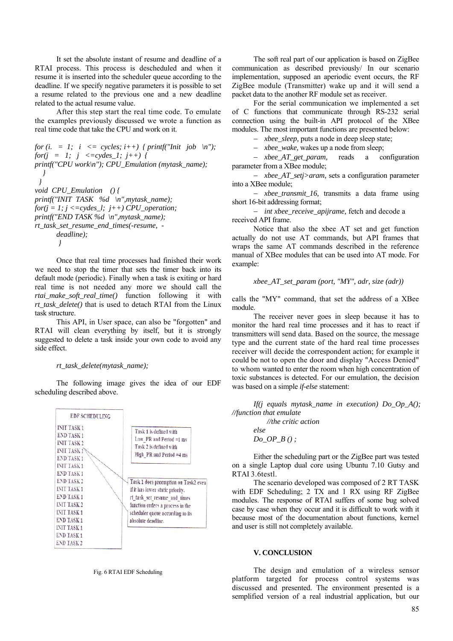It set the absolute instant of resume and deadline of a RTAI process. This process is descheduled and when it resume it is inserted into the scheduler queue according to the deadline. If we specify negative parameters it is possible to set a resume related to the previous one and a new deadline related to the actual resume value.

After this step start the real time code. To emulate the examples previously discussed we wrote a function as real time code that take the CPU and work on it.

*for* (*i.* = 1;  $i \leq z$  *cycles; i++)* { *printf("Init job* \n"); *for(i = 1; i <= cydes 1; j++) { printf("CPU work\n"); CPU\_Emulation (mytask\_name); } } void CPU\_Emulation () { printf("INIT TASK %d \n",mytask\_name);*  $for(j = 1; j \leq z \leq y \leq l; j++)$  *CPU\_operation*; *printf("END TASK %d \n",mytask\_name); rt\_task\_set\_resume\_end\_times(-resume, deadline); }* 

Once that real time processes had finished their work we need to stop the timer that sets the timer back into its default mode (periodic). Finally when a task is exiting or hard real time is not needed any more we should call the *rtai\_make\_soft\_real\_time()* function following it with *rt\_task\_delete()* that is used to detach RTAI from the Linux task structure.

This API, in User space, can also be "forgotten" and RTAI will clean everything by itself, but it is strongly suggested to delete a task inside your own code to avoid any side effect.

### *rt\_task\_delete(mytask\_name);*

The following image gives the idea of our EDF scheduling described above.



Fig. 6 RTAI EDF Scheduling

The soft real part of our application is based on ZigBee communication as described previously/ In our scenario implementation, supposed an aperiodic event occurs, the RF ZigBee module (Transmitter) wake up and it will send a packet data to the another RF module set as receiver.

For the serial communication we implemented a set of С functions that communicate through RS-232 serial connection using the built-in API protocol of the XBee modules. The most important functions are presented below:

− *xbee\_sleep,* puts a node in deep sleep state;

− *xbee\_wake,* wakes up a node from sleep;

− *xbee\_AT\_get\_param,* reads a configuration parameter from a XBee module;

− *xbee\_AT\_setj>aram,* sets a configuration parameter into a XBee module;

− *xbee\_transmit\_16,* transmits a data frame using short 16-bit addressing format;

− *int xbee\_receive\_apijrame,* fetch and decode a received API frame.

Notice that also the xbee AT set and get function actually do not use AT commands, but API frames that wraps the same AT commands described in the reference manual of XBee modules that can be used into AT mode. For example:

```
xbee_AT_set_param (port, "MY", adr, size (adr))
```
calls the "MY" command, that set the address of a XBee module.

The receiver never goes in sleep because it has to monitor the hard real time processes and it has to react if transmitters will send data. Based on the source, the message type and the current state of the hard real time processes receiver will decide the correspondent action; for example it could be not to open the door and display "Access Denied" to whom wanted to enter the room when high concentration of toxic substances is detected. For our emulation, the decision was based on a simple *if-else* statement:

*If(j equals mytask\_name in execution) Do\_Op\_A(); //function that emulate* 

> *//the critic action else Do\_OP\_B () ;*

Either the scheduling part or the ZigBee part was tested on a single Laptop dual core using Ubuntu 7.10 Gutsy and RTAI 3.6testl.

The scenario developed was composed of 2 RT TASK with EDF Scheduling; 2 TX and 1 RX using RF ZigBee modules. The response of RTAI suffers of some bug solved case by case when they occur and it is difficult to work with it because most of the documentation about functions, kernel and user is still not completely available.

### **V. CONCLUSION**

The design and emulation of a wireless sensor platform targeted for process control systems was discussed and presented. The environment presented is a semplified version of a real industrial application, but our